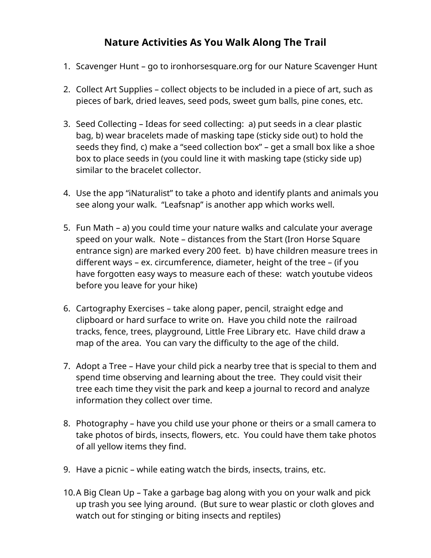## **Nature Activities As You Walk Along The Trail**

- 1. Scavenger Hunt go to ironhorsesquare.org for our Nature Scavenger Hunt
- 2. Collect Art Supplies collect objects to be included in a piece of art, such as pieces of bark, dried leaves, seed pods, sweet gum balls, pine cones, etc.
- 3. Seed Collecting Ideas for seed collecting: a) put seeds in a clear plastic bag, b) wear bracelets made of masking tape (sticky side out) to hold the seeds they find, c) make a "seed collection box" – get a small box like a shoe box to place seeds in (you could line it with masking tape (sticky side up) similar to the bracelet collector.
- 4. Use the app "iNaturalist" to take a photo and identify plants and animals you see along your walk. "Leafsnap" is another app which works well.
- 5. Fun Math a) you could time your nature walks and calculate your average speed on your walk. Note – distances from the Start (Iron Horse Square entrance sign) are marked every 200 feet. b) have children measure trees in different ways – ex. circumference, diameter, height of the tree – (if you have forgotten easy ways to measure each of these: watch youtube videos before you leave for your hike)
- 6. Cartography Exercises take along paper, pencil, straight edge and clipboard or hard surface to write on. Have you child note the railroad tracks, fence, trees, playground, Little Free Library etc. Have child draw a map of the area. You can vary the difficulty to the age of the child.
- 7. Adopt a Tree Have your child pick a nearby tree that is special to them and spend time observing and learning about the tree. They could visit their tree each time they visit the park and keep a journal to record and analyze information they collect over time.
- 8. Photography have you child use your phone or theirs or a small camera to take photos of birds, insects, flowers, etc. You could have them take photos of all yellow items they find.
- 9. Have a picnic while eating watch the birds, insects, trains, etc.
- 10.A Big Clean Up Take a garbage bag along with you on your walk and pick up trash you see lying around. (But sure to wear plastic or cloth gloves and watch out for stinging or biting insects and reptiles)